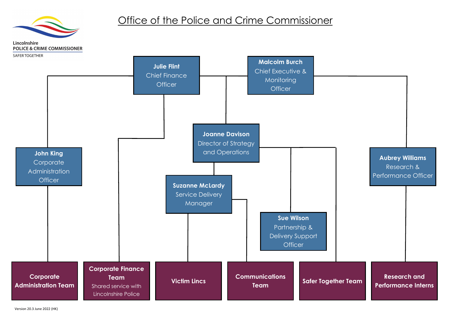

#### **Aubrey Williams** Research & Performance Officer

**Research and Performance Interns**



## Office of the Police and Crime Commissioner

Lincolnshire **POLICE & CRIME COMMISSIONER**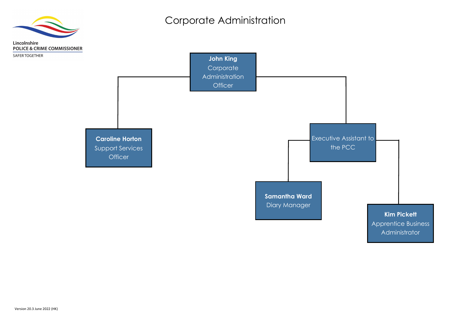**Samantha Ward** Diary Manager



#### **Kim Pickett**

Apprentice Business Administrator



## Corporate Administration

Lincolnshire **POLICE & CRIME COMMISSIONER** 

SAFER TOGETHER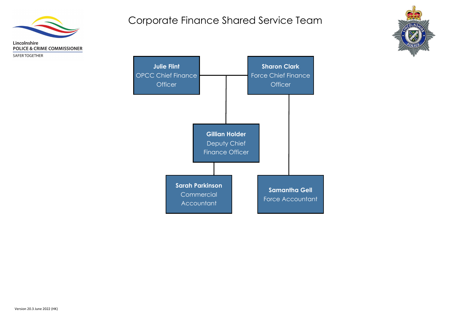

SAFER TOGETHER





## Corporate Finance Shared Service Team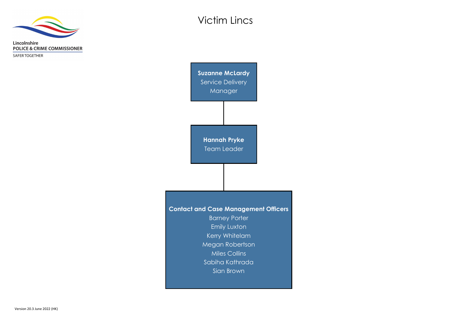

SAFER TOGETHER

**Contact and Case Management Officers** Barney Porter Emily Luxton Kerry Whitelam Megan Robertson Miles Collins Sabiha Kathrada Sian Brown **Hannah Pryke** Team Leader **Suzanne McLardy** Service Delivery Manager

# Victim Lincs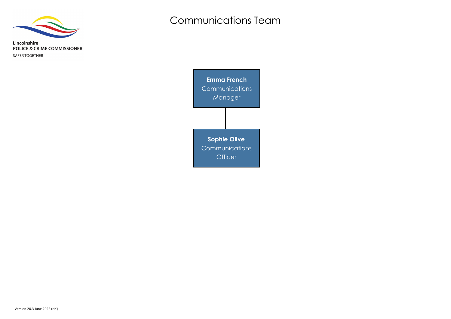

SAFER TOGETHER

**Emma French Communications** Manager **Sophie Olive Communications Officer** 

# Communications Team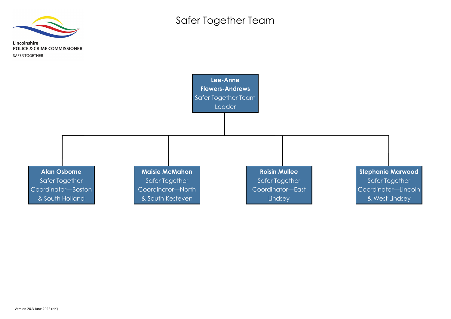

**POLICE & CRIME COMMISSIONER** 

Lincolnshire



**Stephanie Marwood** Safer Together Coordinator—Lincoln & West Lindsey

Safer Together Team